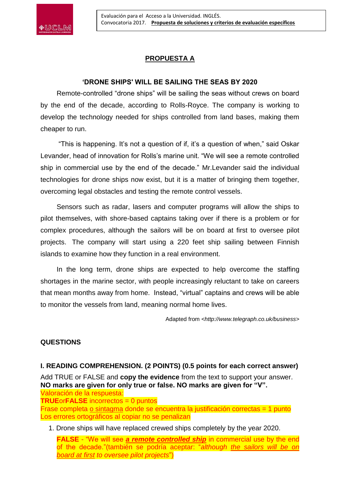# **PROPUESTA A**

### **"DRONE SHIPS' WILL BE SAILING THE SEAS BY 2020**

Remote-controlled "drone ships" will be sailing the seas without crews on board by the end of the decade, according to Rolls-Royce. The company is working to develop the technology needed for ships controlled from land bases, making them cheaper to run.

"This is happening. It's not a question of if, it's a question of when," said Oskar Levander, head of innovation for Rolls's marine unit. "We will see a remote controlled ship in commercial use by the end of the decade." Mr.Levander said the individual technologies for drone ships now exist, but it is a matter of bringing them together, overcoming legal obstacles and testing the remote control vessels.

Sensors such as radar, lasers and computer programs will allow the ships to pilot themselves, with shore-based captains taking over if there is a problem or for complex procedures, although the sailors will be on board at first to oversee pilot projects. The company will start using a 220 feet ship sailing between Finnish islands to examine how they function in a real environment.

In the long term, drone ships are expected to help overcome the staffing shortages in the marine sector, with people increasingly reluctant to take on careers that mean months away from home. Instead, "virtual" captains and crews will be able to monitor the vessels from land, meaning normal home lives.

Adapted from <*http://www.telegraph.co.uk/business>*

### **QUESTIONS**

### **I. READING COMPREHENSION. (2 POINTS) (0.5 points for each correct answer)**

Add TRUE or FALSE and **copy the evidence** from the text to support your answer. **NO marks are given for only true or false. NO marks are given for "V".**

Valoración de la respuesta: **TRUE**or**FALSE** incorrectos = 0 puntos Frase completa o sintagma donde se encuentra la justificación correctas = 1 punto Los errores ortográficos al copiar no se penalizan

1. Drone ships will have replaced crewed ships completely by the year 2020.

FALSE - "We will see *a remote controlled ship* in commercial use by the end of the decade.‖(también se podría aceptar: ―*although the sailors will be on board at first to oversee pilot projects*‖)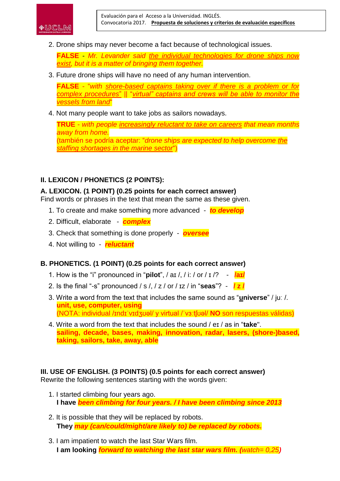2. Drone ships may never become a fact because of technological issues.

**FALSE** - *Mr. Levander said the individual technologies for drone ships now exist, but it is a matter of bringing them together.*

3. Future drone ships will have no need of any human intervention.

**FALSE** - "with shore-based captains taking over if there is a problem or for *complex procedures* II "virtual" captains and crews will be able to monitor the *vessels from land*―

4. Not many people want to take jobs as sailors nowadays.

**TRUE** - *with people increasingly reluctant to take on careers that mean months away from home.* (también se podría aceptar: ―*drone ships are expected to help overcome the*  staffing shortages in the marine sector<sup>®</sup>)

## **II. LEXICON / PHONETICS (2 POINTS):**

**A. LEXICON. (1 POINT) (0.25 points for each correct answer)**

Find words or phrases in the text that mean the same as these given.

- 1. To create and make something more advanced *to develop*
- 2. Difficult, elaborate *complex*
- 3. Check that something is done properly *oversee*
- 4. Not willing to *reluctant*

## **B. PHONETICS. (1 POINT) (0.25 points for each correct answer)**

- 1. How is the "i" pronounced in "**pilot**",  $/$  at  $/$ ,  $/$  i:  $/$  or  $/$  **1** $/$ ?  $/$ a**I**
- 2. Is the final "-s" pronounced  $/s / 2 / 2 / 2$  or  $/ 1z / 2$  in "**seas**"?  $/2$
- 3. Write a word from the text that includes the same sound as "**universe**" / juː /. **unit, use, computer, using** (NOTA: individual /ɪndɪˈvɪdʒʊəl/ y virtual /ˈvɜːtʃʊəl/ **NO** son respuestas válidas)
- 4. Write a word from the text that includes the sound / eɪ / as in ―**take**". **sailing, decade, bases, making, innovation, radar, lasers, (shore-)based, taking, sailors, take, away, able**

**III. USE OF ENGLISH. (3 POINTS) (0.5 points for each correct answer)** Rewrite the following sentences starting with the words given:

- 1. I started climbing four years ago. **I have** *been climbing for four years. / I have been climbing since 2013*
- 2. It is possible that they will be replaced by robots. **They** *may (can/could/might/are likely to) be replaced by robots.*
- 3. I am impatient to watch the last Star Wars film. **I am looking** *forward to watching the last star wars film. (watch= 0,25)*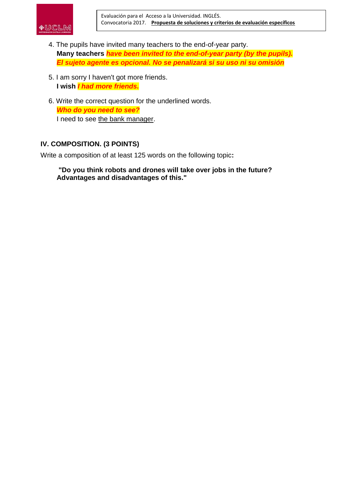- 4. The pupils have invited many teachers to the end-of-year party. **Many teachers** *have been invited to the end-of-year party (by the pupils). El sujeto agente es opcional. No se penalizará si su uso ni su omisión*
- 5. I am sorry I haven't got more friends. **I wish** *I had more friends.*
- 6. Write the correct question for the underlined words. *Who do you need to see?* I need to see the bank manager.

# **IV. COMPOSITION. (3 POINTS)**

Write a composition of at least 125 words on the following topic**:** 

**"Do you think robots and drones will take over jobs in the future? Advantages and disadvantages of this."**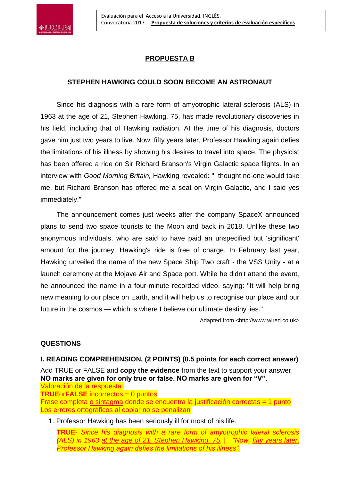# **PROPUESTA B**

## **STEPHEN HAWKING COULD SOON BECOME AN ASTRONAUT**

Since his diagnosis with a rare form of amyotrophic lateral sclerosis (ALS) in 1963 at the age of 21, Stephen Hawking, 75, has made revolutionary discoveries in his field, including that of Hawking radiation. At the time of his diagnosis, doctors gave him just two years to live. Now, fifty years later, Professor Hawking again defies the limitations of his illness by showing his desires to travel into space. The physicist has been offered a ride on Sir Richard Branson's Virgin Galactic space flights. In an interview with *Good Morning Britain,* Hawking revealed: "I thought no-one would take me, but Richard Branson has offered me a seat on Virgin Galactic, and I said yes immediately."

The announcement comes just weeks after the company SpaceX announced plans to send two space tourists to the Moon and back in 2018. Unlike these two anonymous individuals, who are said to have paid an unspecified but 'significant' amount for the journey, Hawking's ride is free of charge. In February last year, Hawking unveiled the name of the new Space Ship Two craft - the VSS Unity - at a launch ceremony at the Mojave Air and Space port. While he didn't attend the event, he announced the name in a four-minute recorded video, saying: "It will help bring new meaning to our place on Earth, and it will help us to recognise our place and our future in the cosmos — which is where I believe our ultimate destiny lies."

Adapted from <http://www.wired.co.uk>

## **QUESTIONS**

### **I. READING COMPREHENSION. (2 POINTS) (0.5 points for each correct answer)**

Add TRUE or FALSE and **copy the evidence** from the text to support your answer. **NO marks are given for only true or false. NO marks are given for "V".**

Valoración de la respuesta: **TRUE**or**FALSE** incorrectos = 0 puntos Frase completa o sintagma donde se encuentra la justificación correctas = 1 punto Los errores ortográficos al copiar no se penalizan

1. Professor Hawking has been seriously ill for most of his life.

**TRUE**- *Since his diagnosis with a rare form of amyotrophic lateral sclerosis (ALS) in 1963 at the age of 21, Stephen Hawking, 75,*|| *"Now, fifty years later, Professor Hawking again defies the limitations of his illness".*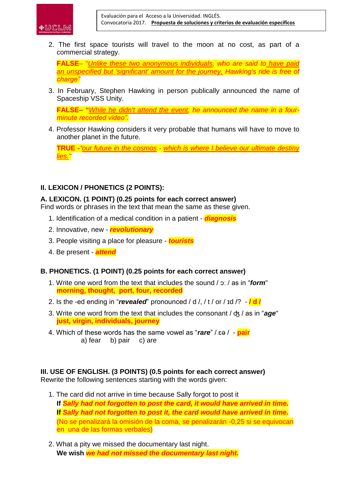2. The first space tourists will travel to the moon at no cost, as part of a commercial strategy.

**FALSE**– "Unlike these two anonymous individuals, who are said to have paid *an unspecified but 'significant' amount for the journey, Hawking's ride is free of charge"*

3. In February, Stephen Hawking in person publically announced the name of Spaceship VSS Unity.

**FALSE– "***While he didn't attend the event, he announced the name in a fourminute recorded video".*

4. Professor Hawking considers it very probable that humans will have to move to another planet in the future.

**TRUE -***"our future in the cosmos - which is where I believe our ultimate destiny lies."*

# **II. LEXICON / PHONETICS (2 POINTS):**

## **A. LEXICON. (1 POINT) (0.25 points for each correct answer)**

Find words or phrases in the text that mean the same as these given.

- 1. Identification of a medical condition in a patient *diagnosis*
- 2. Innovative, new *revolutionary*
- 3. People visiting a place for pleasure *tourists*
- 4. Be present *attend*

### **B. PHONETICS. (1 POINT) (0.25 points for each correct answer)**

- 1. Write one word from the text that includes the sound / ᴐː / as in ―*form*" **morning, thought, port, four, recorded**
- 2. Is the -ed ending in "*revealed*" pronounced  $/d /$ ,  $/t /$  or  $/d /$ ?  $/d /$
- 3. Write one word from the text that includes the consonant / ʤ / as in ―*age*" **just, virgin, individuals, journey**
- 4. Which of these words has the same vowel as ―*rare*‖ / ɛə / **pair** a) fear b) pair c) are

**III. USE OF ENGLISH. (3 POINTS) (0.5 points for each correct answer)** Rewrite the following sentences starting with the words given:

- 1. The card did not arrive in time because Sally forgot to post it **If** *Sally had not forgotten to post the card, it would have arrived in time.* **If** *Sally had not forgotten to post it, the card would have arrived in time.* (No se penalizará la omisión de la coma, se penalizarán -0,25 si se equivocan en una de las formas verbales)
- 2. What a pity we missed the documentary last night. **We wish** *we had not missed the documentary last night.*